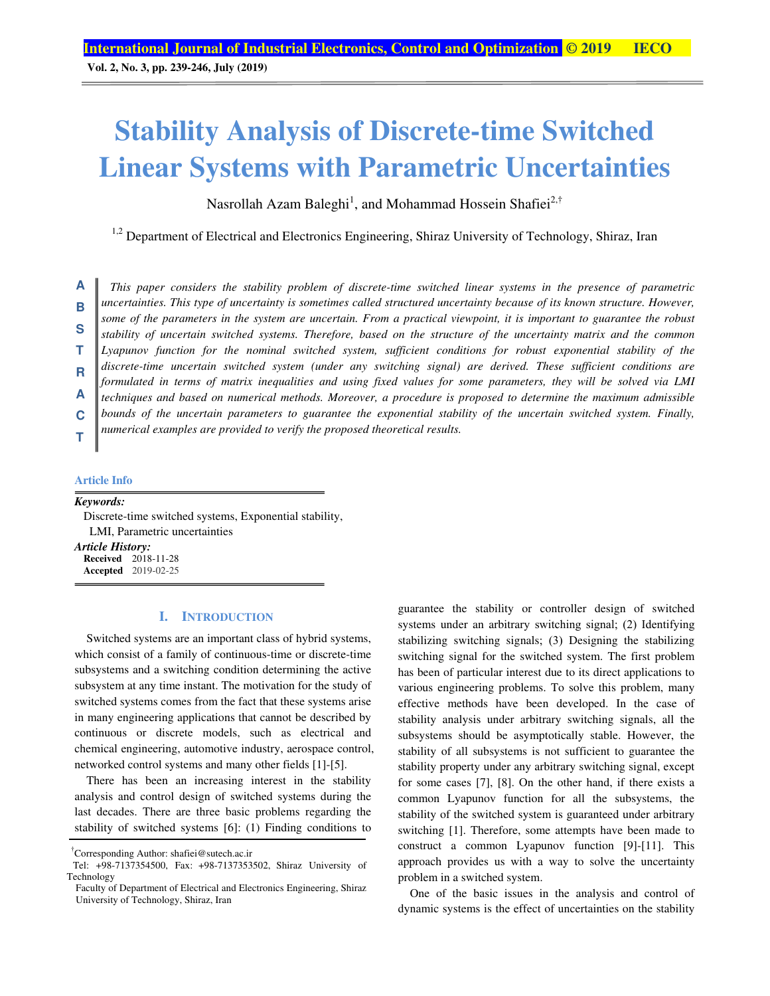**Vol. 2, No. 3, pp. 239-246, July (2019)**

### **Stability Analysis of Discrete-time Switched Linear Systems with Parametric Uncertainties**

Nasrollah Azam Baleghi<sup>1</sup>, and Mohammad Hossein Shafiei<sup>2,†</sup>

 $1,2$  Department of Electrical and Electronics Engineering, Shiraz University of Technology, Shiraz, Iran

*This paper considers the stability problem of discrete-time switched linear systems in the presence of parametric uncertainties. This type of uncertainty is sometimes called structured uncertainty because of its known structure. However, some of the parameters in the system are uncertain. From a practical viewpoint, it is important to guarantee the robust stability of uncertain switched systems. Therefore, based on the structure of the uncertainty matrix and the common Lyapunov function for the nominal switched system, sufficient conditions for robust exponential stability of the discrete-time uncertain switched system (under any switching signal) are derived. These sufficient conditions are formulated in terms of matrix inequalities and using fixed values for some parameters, they will be solved via LMI techniques and based on numerical methods. Moreover, a procedure is proposed to determine the maximum admissible bounds of the uncertain parameters to guarantee the exponential stability of the uncertain switched system. Finally, numerical examples are provided to verify the proposed theoretical results.*  **A B S T R A C T**

#### **Article Info**

#### *Keywords:*

Discrete-time switched systems, Exponential stability, LMI, Parametric uncertainties

*Article History:*  **Received** 2018-11-28 **Accepted** 2019-02-25

#### **I. INTRODUCTION**

Switched systems are an important class of hybrid systems, which consist of a family of continuous-time or discrete-time subsystems and a switching condition determining the active subsystem at any time instant. The motivation for the study of switched systems comes from the fact that these systems arise in many engineering applications that cannot be described by continuous or discrete models, such as electrical and chemical engineering, automotive industry, aerospace control, networked control systems and many other fields [1]-[5].

There has been an increasing interest in the stability analysis and control design of switched systems during the last decades. There are three basic problems regarding the stability of switched systems [6]: (1) Finding conditions to guarantee the stability or controller design of switched systems under an arbitrary switching signal; (2) Identifying stabilizing switching signals; (3) Designing the stabilizing switching signal for the switched system. The first problem has been of particular interest due to its direct applications to various engineering problems. To solve this problem, many effective methods have been developed. In the case of stability analysis under arbitrary switching signals, all the subsystems should be asymptotically stable. However, the stability of all subsystems is not sufficient to guarantee the stability property under any arbitrary switching signal, except for some cases [7], [8]. On the other hand, if there exists a common Lyapunov function for all the subsystems, the stability of the switched system is guaranteed under arbitrary switching [1]. Therefore, some attempts have been made to construct a common Lyapunov function [9]-[11]. This approach provides us with a way to solve the uncertainty problem in a switched system.

One of the basic issues in the analysis and control of dynamic systems is the effect of uncertainties on the stability

<sup>†</sup> Corresponding Author: shafiei@sutech.ac.ir

Tel: +98-7137354500, Fax: +98-7137353502, Shiraz University of Technology

Faculty of Department of Electrical and Electronics Engineering, Shiraz University of Technology, Shiraz, Iran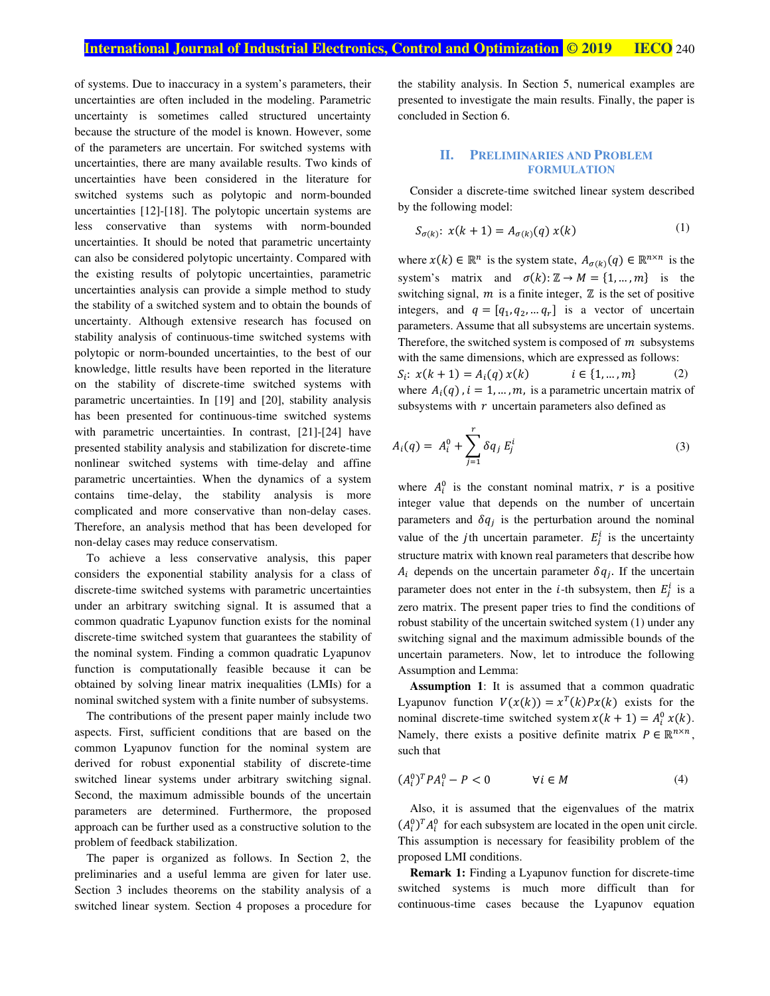of systems. Due to inaccuracy in a system's parameters, their uncertainties are often included in the modeling. Parametric uncertainty is sometimes called structured uncertainty because the structure of the model is known. However, some of the parameters are uncertain. For switched systems with uncertainties, there are many available results. Two kinds of uncertainties have been considered in the literature for switched systems such as polytopic and norm-bounded uncertainties [12]-[18]. The polytopic uncertain systems are less conservative than systems with norm-bounded uncertainties. It should be noted that parametric uncertainty can also be considered polytopic uncertainty. Compared with the existing results of polytopic uncertainties, parametric uncertainties analysis can provide a simple method to study the stability of a switched system and to obtain the bounds of uncertainty. Although extensive research has focused on stability analysis of continuous-time switched systems with polytopic or norm-bounded uncertainties, to the best of our knowledge, little results have been reported in the literature on the stability of discrete-time switched systems with parametric uncertainties. In [19] and [20], stability analysis has been presented for continuous-time switched systems with parametric uncertainties. In contrast, [21]-[24] have presented stability analysis and stabilization for discrete-time nonlinear switched systems with time-delay and affine parametric uncertainties. When the dynamics of a system contains time-delay, the stability analysis is more complicated and more conservative than non-delay cases. Therefore, an analysis method that has been developed for non-delay cases may reduce conservatism.

To achieve a less conservative analysis, this paper considers the exponential stability analysis for a class of discrete-time switched systems with parametric uncertainties under an arbitrary switching signal. It is assumed that a common quadratic Lyapunov function exists for the nominal discrete-time switched system that guarantees the stability of the nominal system. Finding a common quadratic Lyapunov function is computationally feasible because it can be obtained by solving linear matrix inequalities (LMIs) for a nominal switched system with a finite number of subsystems.

The contributions of the present paper mainly include two aspects. First, sufficient conditions that are based on the common Lyapunov function for the nominal system are derived for robust exponential stability of discrete-time switched linear systems under arbitrary switching signal. Second, the maximum admissible bounds of the uncertain parameters are determined. Furthermore, the proposed approach can be further used as a constructive solution to the problem of feedback stabilization.

The paper is organized as follows. In Section 2, the preliminaries and a useful lemma are given for later use. Section 3 includes theorems on the stability analysis of a switched linear system. Section 4 proposes a procedure for the stability analysis. In Section 5, numerical examples are presented to investigate the main results. Finally, the paper is concluded in Section 6.

#### **II. PRELIMINARIES AND PROBLEM FORMULATION**

Consider a discrete-time switched linear system described by the following model:

$$
S_{\sigma(k)}: x(k+1) = A_{\sigma(k)}(q) x(k)
$$
 (1)

where  $x(k) \in \mathbb{R}^n$  is the system state,  $A_{\sigma(k)}(q) \in \mathbb{R}^{n \times n}$  is the system's matrix and  $\sigma(k): \mathbb{Z} \to M = \{1, ..., m\}$  is the switching signal,  $m$  is a finite integer,  $\mathbb Z$  is the set of positive integers, and  $q = [q_1, q_2, \dots q_r]$  is a vector of uncertain parameters. Assume that all subsystems are uncertain systems. Therefore, the switched system is composed of  $m$  subsystems with the same dimensions, which are expressed as follows:  $S_i: x(k + 1) = A_i(q) x(k)$   $i \in \{1, ..., m\}$  (2) where  $A_i(q)$ ,  $i = 1, ..., m$ , is a parametric uncertain matrix of subsystems with  $r$  uncertain parameters also defined as

$$
A_i(q) = A_i^0 + \sum_{j=1}^r \delta q_j E_j^i
$$
 (3)

where  $A_i^0$  is the constant nominal matrix, r is a positive integer value that depends on the number of uncertain parameters and  $\delta q_j$  is the perturbation around the nominal value of the *j*th uncertain parameter.  $E_j^t$  is the uncertainty structure matrix with known real parameters that describe how  $A_i$  depends on the uncertain parameter  $\delta q_j$ . If the uncertain parameter does not enter in the *i*-th subsystem, then  $E_j^t$  is a zero matrix. The present paper tries to find the conditions of robust stability of the uncertain switched system (1) under any switching signal and the maximum admissible bounds of the uncertain parameters. Now, let to introduce the following Assumption and Lemma:

**Assumption 1**: It is assumed that a common quadratic Lyapunov function  $V(x(k)) = x^T(k)Px(k)$  exists for the nominal discrete-time switched system  $x(k + 1) = A_i^0 x(k)$ . Namely, there exists a positive definite matrix  $P \in \mathbb{R}^{n \times n}$ , such that

$$
(A_i^0)^T P A_i^0 - P < 0 \qquad \qquad \forall i \in M \tag{4}
$$

Also, it is assumed that the eigenvalues of the matrix  $(A_i^0)^T A_i^0$  for each subsystem are located in the open unit circle. This assumption is necessary for feasibility problem of the proposed LMI conditions.

**Remark 1:** Finding a Lyapunov function for discrete-time switched systems is much more difficult than for continuous-time cases because the Lyapunov equation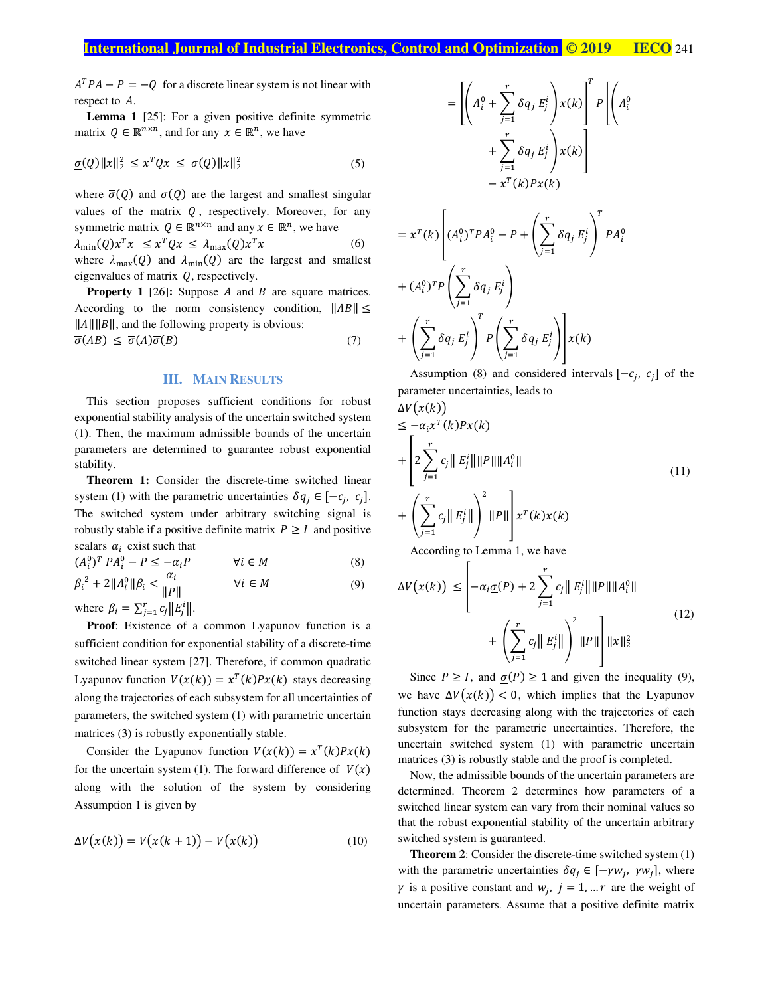$A^T P A - P = -Q$  for a discrete linear system is not linear with respect to A.

**Lemma 1** [25]: For a given positive definite symmetric matrix  $Q \in \mathbb{R}^{n \times n}$ , and for any  $x \in \mathbb{R}^n$ , we have

$$
\underline{\sigma}(Q)\|x\|_2^2 \le x^T Q x \le \overline{\sigma}(Q)\|x\|_2^2 \tag{5}
$$

where  $\overline{\sigma}(Q)$  and  $\sigma(Q)$  are the largest and smallest singular values of the matrix  $Q$ , respectively. Moreover, for any symmetric matrix  $Q \in \mathbb{R}^{n \times n}$  and any  $x \in \mathbb{R}^n$ , we have  $\lambda_{\min}(Q)x^{T}x \leq x^{T}Qx \leq \lambda_{\max}(Q)x$  $(6)$ where  $\lambda_{\text{max}}(Q)$  and  $\lambda_{\text{min}}(Q)$  are the largest and smallest eigenvalues of matrix  $Q$ , respectively.

**Property 1** [26]: Suppose A and B are square matrices. According to the norm consistency condition,  $||AB|| \le$  $\|A\| \|B\|$ , and the following property is obvious:

$$
\overline{\sigma}(AB) \le \overline{\sigma}(A)\overline{\sigma}(B) \tag{7}
$$

### **III. MAIN RESULTS**

This section proposes sufficient conditions for robust exponential stability analysis of the uncertain switched system (1). Then, the maximum admissible bounds of the uncertain parameters are determined to guarantee robust exponential stability.

**Theorem 1:** Consider the discrete-time switched linear system (1) with the parametric uncertainties  $\delta q_j \in [-c_j, c_j]$ . The switched system under arbitrary switching signal is robustly stable if a positive definite matrix  $P \geq I$  and positive scalars  $\alpha_i$  exist such that

 $(A_i^0)^T P A_i^0 - P \le -\alpha_i P$   $\forall i \in M$  (8)

$$
\beta_i^2 + 2\|A_i^0\|\beta_i < \frac{\alpha_i}{\|P\|} \qquad \qquad \forall i \in M \tag{9}
$$

where  $\beta_i = \sum_{j=1}^r c_j ||E_j^{\dagger}||$ .

**Proof:** Existence of a common Lyapunov function is a sufficient condition for exponential stability of a discrete-time switched linear system [27]. Therefore, if common quadratic Lyapunov function  $V(x(k)) = x^T(k)Px(k)$  stays decreasing along the trajectories of each subsystem for all uncertainties of parameters, the switched system (1) with parametric uncertain matrices (3) is robustly exponentially stable.

Consider the Lyapunov function  $V(x(k)) = x^T(k)Px(k)$ for the uncertain system (1). The forward difference of  $V(x)$ along with the solution of the system by considering Assumption 1 is given by

$$
\Delta V(x(k)) = V(x(k+1)) - V(x(k))\tag{10}
$$

$$
= \left[ \left( A_i^0 + \sum_{j=1}^r \delta q_j E_j^i \right) x(k) \right]^T P \left[ \left( A_i^0 + \sum_{j=1}^r \delta q_j E_j^i \right) x(k) \right]
$$
  

$$
- x^T(k) P x(k)
$$
  

$$
= \left[ \left( A_i^0 \right)^T P A_i^0 - P + \left( \sum_{j=1}^r \delta q_j E_j^i \right)^T P A_i^0 \right]
$$

$$
= x^T(k) \left[ (A_i^0)^T P A_i^0 - P + \left( \sum_{j=1}^r \delta q_j E_j^i \right) P A_i^0 \right]
$$
  
+  $(A_i^0)^T P \left( \sum_{j=1}^r \delta q_j E_j^i \right)$   
+  $\left( \sum_{j=1}^r \delta q_j E_j^i \right)^T P \left( \sum_{j=1}^r \delta q_j E_j^i \right) x(k)$ 

Assumption (8) and considered intervals  $[-c_j, c_j]$  of the parameter uncertainties, leads to  $\Delta U(x(b))$ 

$$
\leq -\alpha_i x^T(k)Px(k)
$$
\n
$$
+\left[2\sum_{j=1}^r c_j ||E_j^i|| ||P|| ||A_i^0|| \right]
$$
\n
$$
+\left(\sum_{j=1}^r c_j ||E_j^i||\right)^2 ||P||\right]x^T(k)x(k)
$$
\nAccording to Lemma 1, we have

According to Lemma 1, we have

$$
\Delta V(x(k)) \leq \left| -\alpha_i \underline{\sigma}(P) + 2 \sum_{j=1}^r c_j \| E_j^i \| \| P \| \| A_i^0 \| + \left( \sum_{j=1}^r c_j \| E_j^i \| \right)^2 \| P \| \right] \| x \|_2^2
$$
\n(12)

Since  $P \geq I$ , and  $\underline{\sigma}(P) \geq 1$  and given the inequality (9), we have  $\Delta V(x(k))$  < 0, which implies that the Lyapunov function stays decreasing along with the trajectories of each subsystem for the parametric uncertainties. Therefore, the uncertain switched system (1) with parametric uncertain matrices (3) is robustly stable and the proof is completed.

Now, the admissible bounds of the uncertain parameters are determined. Theorem 2 determines how parameters of a switched linear system can vary from their nominal values so that the robust exponential stability of the uncertain arbitrary switched system is guaranteed.

**Theorem 2**: Consider the discrete-time switched system (1) with the parametric uncertainties  $\delta q_j \in [-\gamma w_j, \gamma w_j]$ , where  $\gamma$  is a positive constant and  $w_j$ ,  $j = 1, ... r$  are the weight of uncertain parameters. Assume that a positive definite matrix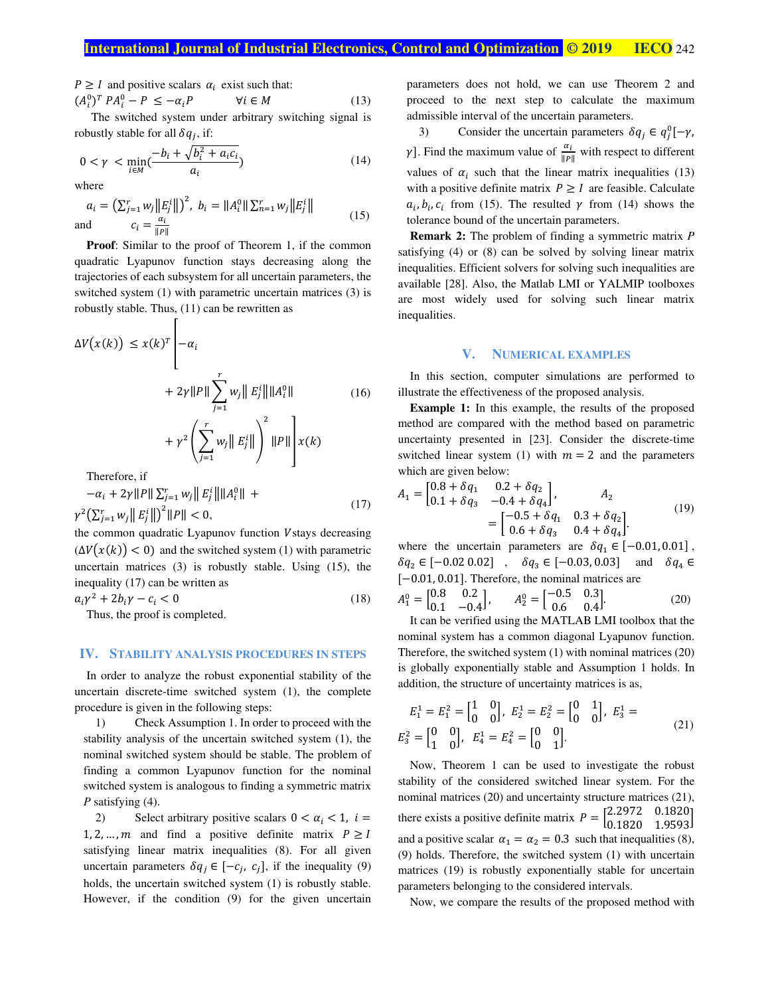$P \geq I$  and positive scalars  $\alpha_i$  exist such that:

Г

 $(A_i^0)^T P A_i^0 - P \le -\alpha_i P$   $\forall i \in M$  (13) The switched system under arbitrary switching signal is robustly stable for all  $\delta q_j$ , if:

$$
0 < \gamma < \min_{i \in M} \left( \frac{-b_i + \sqrt{b_i^2 + a_i c_i}}{a_i} \right) \tag{14}
$$

where

$$
a_{i} = \left(\sum_{j=1}^{r} w_{j} \|E_{j}^{i}\|\right)^{2}, \ b_{i} = \|A_{i}^{0}\| \sum_{n=1}^{r} w_{j} \|E_{j}^{i}\|
$$
  
and 
$$
c_{i} = \frac{\alpha_{i}}{\|P\|}
$$
 (15)

**Proof**: Similar to the proof of Theorem 1, if the common quadratic Lyapunov function stays decreasing along the trajectories of each subsystem for all uncertain parameters, the switched system (1) with parametric uncertain matrices (3) is robustly stable. Thus, (11) can be rewritten as

$$
\Delta V(x(k)) \le x(k)^{T} \left| -\alpha_{i} \right|
$$
  
+  $2\gamma ||P|| \sum_{j=1}^{T} w_{j} ||E_{j}^{i}|| ||A_{i}^{0}||$  (16)  
+  $\gamma^{2} \left( \sum_{j=1}^{T} w_{j} ||E_{j}^{i}|| \right)^{2} ||P|| \left| x(k) \right|$   
Therefore if

I nerefore, if

$$
-\alpha_{i} + 2\gamma ||P|| \sum_{j=1}^{r} w_{j} ||E_{j}^{i}|| ||A_{i}^{0}|| + \gamma^{2} \left( \sum_{j=1}^{r} w_{j} ||E_{j}^{i}|| \right)^{2} ||P|| < 0,
$$
\n(17)

the common quadratic Lyapunov function Vstays decreasing  $(\Delta V(x(k)) < 0)$  and the switched system (1) with parametric uncertain matrices (3) is robustly stable. Using (15), the inequality (17) can be written as

$$
a_i \gamma^2 + 2b_i \gamma - c_i < 0 \tag{18}
$$

Thus, the proof is completed.

#### **IV. STABILITY ANALYSIS PROCEDURES IN STEPS**

In order to analyze the robust exponential stability of the uncertain discrete-time switched system (1), the complete procedure is given in the following steps:

1) Check Assumption 1. In order to proceed with the stability analysis of the uncertain switched system (1), the nominal switched system should be stable. The problem of finding a common Lyapunov function for the nominal switched system is analogous to finding a symmetric matrix *P* satisfying (4).

2) Select arbitrary positive scalars  $0 < \alpha_i < 1$ ,  $i =$ 1, 2, …, m and find a positive definite matrix  $P \geq I$ satisfying linear matrix inequalities (8). For all given uncertain parameters  $\delta q_j \in [-c_j, c_j]$ , if the inequality (9) holds, the uncertain switched system (1) is robustly stable. However, if the condition (9) for the given uncertain

parameters does not hold, we can use Theorem 2 and proceed to the next step to calculate the maximum admissible interval of the uncertain parameters.

3) Consider the uncertain parameters  $\delta q_j \in q_j^0[-\gamma,$  $\gamma$ ]. Find the maximum value of  $\frac{\alpha_i}{\|\mathcal{P}\|}$  with respect to different values of  $\alpha_i$  such that the linear matrix inequalities (13) with a positive definite matrix  $P \geq I$  are feasible. Calculate  $a_i, b_i, c_i$  from (15). The resulted  $\gamma$  from (14) shows the tolerance bound of the uncertain parameters.

**Remark 2:** The problem of finding a symmetric matrix *P* satisfying (4) or (8) can be solved by solving linear matrix inequalities. Efficient solvers for solving such inequalities are available [28]. Also, the Matlab LMI or YALMIP toolboxes are most widely used for solving such linear matrix inequalities.

#### **V. NUMERICAL EXAMPLES**

In this section, computer simulations are performed to illustrate the effectiveness of the proposed analysis.

**Example 1:** In this example, the results of the proposed method are compared with the method based on parametric uncertainty presented in [23]. Consider the discrete-time switched linear system (1) with  $m = 2$  and the parameters which are given below:

$$
A_1 = \begin{bmatrix} 0.8 + \delta q_1 & 0.2 + \delta q_2 \\ 0.1 + \delta q_3 & -0.4 + \delta q_4 \end{bmatrix}, \qquad A_2 = \begin{bmatrix} -0.5 + \delta q_1 & 0.3 + \delta q_2 \\ 0.6 + \delta q_3 & 0.4 + \delta q_4 \end{bmatrix}.
$$
 (19)

where the uncertain parameters are  $\delta q_1 \in [-0.01, 0.01]$ ,  $\delta q_2 \in [-0.02\ 0.02]$  ,  $\delta q_3 \in [-0.03, 0.03]$  and  $\delta q_4 \in$ [−0.01, 0.01]. Therefore, the nominal matrices are

$$
A_1^0 = \begin{bmatrix} 0.8 & 0.2 \\ 0.1 & -0.4 \end{bmatrix}, \qquad A_2^0 = \begin{bmatrix} -0.5 & 0.3 \\ 0.6 & 0.4 \end{bmatrix}.
$$
 (20)

It can be verified using the MATLAB LMI toolbox that the nominal system has a common diagonal Lyapunov function. Therefore, the switched system (1) with nominal matrices (20) is globally exponentially stable and Assumption 1 holds. In addition, the structure of uncertainty matrices is as,

$$
E_1^1 = E_1^2 = \begin{bmatrix} 1 & 0 \\ 0 & 0 \end{bmatrix}, \ E_2^1 = E_2^2 = \begin{bmatrix} 0 & 1 \\ 0 & 0 \end{bmatrix}, \ E_3^1 =
$$
  

$$
E_3^2 = \begin{bmatrix} 0 & 0 \\ 1 & 0 \end{bmatrix}, \ E_4^1 = E_4^2 = \begin{bmatrix} 0 & 0 \\ 0 & 1 \end{bmatrix}.
$$
 (21)

Now, Theorem 1 can be used to investigate the robust stability of the considered switched linear system. For the nominal matrices (20) and uncertainty structure matrices (21), there exists a positive definite matrix  $P = \begin{bmatrix} 2.2972 & 0.1820 \\ 0.1820 & 1.9593 \end{bmatrix}$ and a positive scalar  $\alpha_1 = \alpha_2 = 0.3$  such that inequalities (8), (9) holds. Therefore, the switched system (1) with uncertain matrices (19) is robustly exponentially stable for uncertain parameters belonging to the considered intervals.

Now, we compare the results of the proposed method with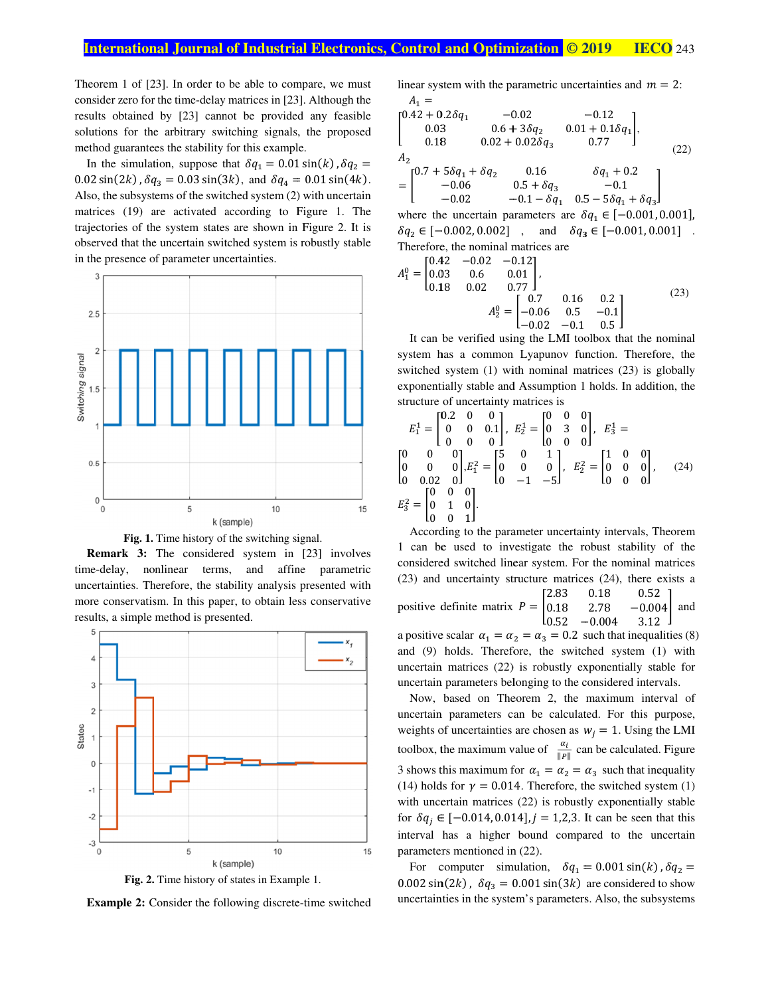$\overline{\phantom{a}}$ 

Theorem 1 of  $[23]$ . In order to be able to compare, we must consider zero for the time-delay matrices in [23]. Although the results obtained by [23] cannot be provided any feasible solutions for the arbitrary switching signals, the proposed method guarantees the stability for this example. results obtained by [23] cannot be provided any feasible solutions for the arbitrary switching signals, the proposed method guarantees the stability for this example.<br>In the simulation, suppose that  $\delta q_1 = 0.01 \sin(k)$ ,  $\delta$ 

 $0.02 \sin(2k)$ ,  $\delta q_3 = 0.03 \sin(3k)$ , and  $\delta q_4 = 0.01 \sin(4k)$ . Also, the subsystems of the switched system (2) with uncertain uncertain matrices (19) are activated according to Figure 1. The Also, the subsystems of the switched system (2) with uncertain matrices (19) are activated according to Figure 1. The trajectories of the system states are shown in Figure 2. It is trajectories of the system states are shown in Figure 2. It is observed that the uncertain switched system is robustly stable in the presence of parameter uncertainties. es (19) are activated according to Figure 1. Thories of the system states are shown in Figure 2. It wed that the uncertain switched system is robustly stab presence of parameter uncertainties. as of the switched system (2) with uncertain<br>activated according to Figure 1. The<br>system states are shown in Figure 2. It is



Fig. 1. Time history of the switching signal.

time time-delay, nonlinear terms uncertainties. Therefore, the stability analysis presented with more conservatism. In this paper, to obtain less conservative results, a simple method is presented. **Remark 3:** The considered system in [23] involves ne-delay, nonlinear terms, and affine parametric uncertainties. Therefore, the stability analysis presented with more conservatism. In this paper, to obtain less conservative results, a simple method is presented. delay, nonlinear terms, and tainties. Therefore, the stability conservatism. In this paper, to ts, a simple method is presented. parametric with



Fig. 2. Time history of states in Example 1.

**Example 2:** Consider the following discrete-time switched

linear system with the parametric uncertainties and  $m = 2$ :  $A_1 =$ 

$$
\begin{bmatrix}\n0.42 + 0.2\delta q_1 & -0.02 & -0.12 \\
0.03 & 0.6 + 3\delta q_2 & 0.01 + 0.1\delta q_1 \\
0.18 & 0.02 + 0.02\delta q_3 & 0.77\n\end{bmatrix},
$$
\n
$$
A_2 = \begin{bmatrix}\n0.7 + 5\delta q_1 + \delta q_2 & 0.16 & \delta q_1 + 0.2 \\
-0.06 & 0.5 + \delta q_3 & -0.1 \\
-0.02 & -0.1 - \delta q_1 & 0.5 - 5\delta q_1 + \delta q_3\n\end{bmatrix}
$$
\nwhere the uncertain parameters are  $\delta q_1 \in [-0.001, 0.001]$ ,  
\n $\delta q_2 \in [-0.002, 0.002]$ , and  $\delta q_3 \in [-0.001, 0.001]$ .

Therefore, the nominal matrices are

$$
A_1^0 = \begin{bmatrix} 0.42 & -0.02 & -0.12 \\ 0.03 & 0.6 & 0.01 \\ 0.18 & 0.02 & 0.77 \end{bmatrix},
$$
  
\n
$$
A_2^0 = \begin{bmatrix} 0.7 & 0.16 & 0.2 \\ -0.06 & 0.5 & -0.1 \\ -0.02 & -0.1 & 0.5 \end{bmatrix}
$$
 (23)

It can be verified using the LMI toolbox that the nominal system has a common Lyapunov function. Therefore, the system has a common Lyapunov function. Therefore, the switched system (1) with nominal matrices (23) is globally It can be verified using the LMI toolbox that the nominal<br>system has a common Lyapunov function. Therefore, the<br>switched system (1) with nominal matrices (23) is globally<br>exponentially stable and Assumption 1 holds. In add structure of uncertainty matrices is It can be verified using the LMI toolbox that the nominal system has a common Lyapunov function. Therefore, the switched system (1) with nominal matrices (23) is globally It can be verified using the LMI toolbox that the nominal<br>stem has a common Lyapunov function. Therefore, the<br>itched system (1) with nominal matrices (23) is globally<br>ponentially stable and Assumption 1 holds. In addition,

$$
E_1^1 = \begin{bmatrix} 0.2 & 0 & 0 \\ 0 & 0 & 0.1 \\ 0 & 0 & 0 \end{bmatrix}, E_2^1 = \begin{bmatrix} 0 & 0 & 0 \\ 0 & 3 & 0 \\ 0 & 0 & 0 \end{bmatrix}, E_3^1 = \begin{bmatrix} 0 & 0 & 0 \\ 0 & 0 & 0 \\ 0 & 0 & 0 \end{bmatrix}, E_2^2 = \begin{bmatrix} 1 & 0 & 0 \\ 0 & 0 & 0 \\ 0 & 0 & 0 \end{bmatrix}, (24)
$$
  

$$
E_3^2 = \begin{bmatrix} 0 & 0 & 0 \\ 0 & 1 & 0 \\ 0 & 0 & 1 \end{bmatrix}.
$$

According to According to the parameter uncertainty intervals, Theorem 1 can be used to investigate the robust stability of the considered switched linear system. For the nominal matrices (23) and uncertainty structure matrices positive definite matrix  $P = \begin{bmatrix} 2.83 \\ 0.18 \end{bmatrix}$ a positive scalar  $\alpha_1 = \alpha_2 = \alpha_3 = 0.2$  such that inequalities (8) and (9) holds. Therefore, the switched system (1) with uncertain matrices (22) is robustly exponentially stable for uncertain matrices uncertain matrices (22) uncertain parameters belonging to the considered intervals. According to the parameter uncertainty intervals, Theorem According to the parameter uncertainty intervals, Theorem 1 can be used to investigate the robust stability of the considered switched linear system. For the nominal matrices (23) and uncertainty structure matrices (24),  $0.52$   $-0.004$  3.12  $0.18$   $0.52$ <br>2.78  $-0.00$  $2.78 - 0.004$  $\begin{bmatrix} 52 \\ 004 \\ 12 \end{bmatrix}$  and

Now, based on Theorem 2, the maximum interval of uncertain parameters can be calculated. For this purpose, Now, based on Theorem 2, the maximum interval of uncertain parameters can be calculated. For this purpose, weights of uncertainties are chosen as  $w_j = 1$ . Using the LMI toolbox, the maximum value of  $\frac{\alpha_i}{\|P\|}$  can be calculated. Figure 3 shows this maximum for  $\alpha_1 = \alpha_2 = \alpha_3$  such that inequality (14) holds for  $\gamma = 0.014$ . Therefore, the switched system (1) 3 shows this maximum for  $\alpha_1 = \alpha_2 = \alpha_3$  such that inequality (14) holds for  $\gamma = 0.014$ . Therefore, the switched system with uncertain matrices (22) is robustly exponentially stable<br>for  $\delta q_j \in [-0.014, 0.014], j = 1,2,3$ . It can be seen that this for  $\delta q_j \in [-0.014, 0.014]$ ,  $j = 1,2,3$ . It can be seen that this interval has a higher bound compared to the uncertain parameters mentioned in (22). parameters mentioned in  $(22)$ . matrices (22) is robustly exponentially<br>parameters belonging to the considered in<br>ased on Theorem 2, the maximum i<br>parameters can be calculated. For this certain matrices (22) is robustly exponentially stable for<br>certain parameters belonging to the considered intervals.<br>Now, based on Theorem 2, the maximum interval of<br>certain parameters can be calculated. For this purpose,

parameters mentioned in (22).<br>For computer simulation,  $\delta q_1 = 0.001 \sin(k)$ ,  $\delta q_2 =$ 0.002 sin(2*k*),  $\delta q_3 = 0.001 \sin(3k)$  are considered to show uncertainties in the system's parameters. Also, the subsystems uncertainties in the system's parameters. Also, the subsyst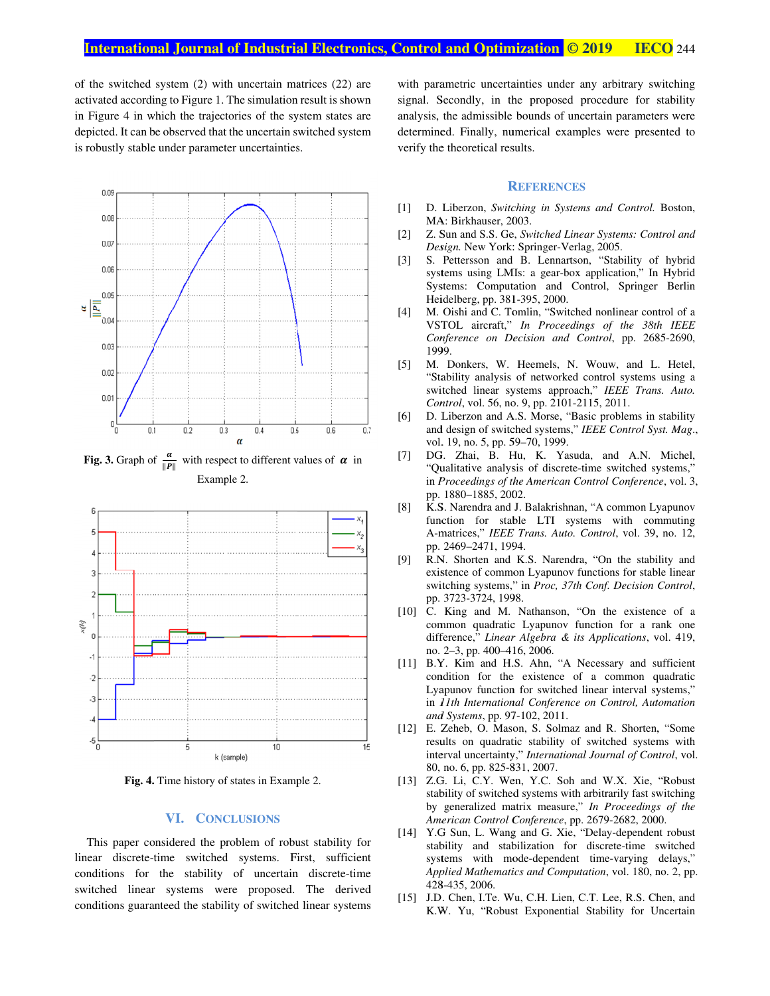of the switched system  $(2)$  with uncertain matrices  $(22)$  are activated according to Figure 1. The simulation result is shown in Figure 4 in which the trajectories of the system states are depicted depicted. It can be observed that the uncertain switched system is robustly stable under parameter uncertainties. fivated according to Figure 1. The simulation result Figure 4 in which the trajectories of the system s picted. It can be observed that the uncertain switche robustly stable under parameter uncertainties. observed that the uncertain switched system



**Fig. 3.** Graph of  $\frac{\alpha}{\ln n}$  $\frac{\alpha}{\|P\|}$  with respect to different values of  $\alpha$  in Example 2.



**Fig. 4. .** Time history of states in Example 2.

### **VI. CONCLUSION ONCLUSIONS**

linear discrete discrete-time switched systems. First, sufficient conditions for the stability of uncertain discrete-time switched linear systems were proposed. The derived conditions guaranteed the stability of switched linear systems This paper considered the problem of robust stability for paper considered the problem of robust stability for discrete-time switched systems. First, sufficient ns for the stability of uncertain discrete-time d linear systems were proposed. The derived ns guaranteed the stability switched systems. First, sufficient with parametric uncertainties under any arbitrary switching signal. Secondly, in the proposed procedure for stability analysis, the admissible bounds of uncertain parameters were with parametric uncertainties under any arbitrary switching<br>signal. Secondly, in the proposed procedure for stability<br>analysis, the admissible bounds of uncertain parameters were<br>determined. Finally, numerical examples wer verify the theoretical results. verify the theoretical **Colletting Colletting Colletting (Colletting School and Control and School (in the proposed procedure for stability) and the minimal state of the stability numerical examples were presented to the theoretical results and IDENTIFY CONFIGURE SET ANTIFY SCINCT**<br>
2019 **IECO** 244<br>
uncertainties under any arbitrary switching<br>
in the proposed procedure for stability<br>
IIV, numerical examples were presented to<br>
ical results.<br> **REFERENCES**<br>
1. Swit

### **R EFERENCES**

- [1] D. Liberzon, Switching in Systems and Control. Boston, MA: Birkhauser, 2003. MA: Birkhauser, 2003.
- MA: Birkhauser, 2003.<br>
[2] Z. Sun and S.S. Ge, *Switched Linear Systems: Control and* Design. New York: Springer-Verlag, 2005.
- [3] S. Pettersson and B. Lennartson, "Stability of hybrid systems using LMIs: a gear Systems: Computation and Control, Springer Berlin Systems: Computation Control, Berlin Heidelberg, pp. 381-395, 2000. Heidelberg, pp. 381-395, 2000. S. Pettersson and B. Lennartson, "Stability of<br>systems using LMIs: a gear-box application," In<br>Systems: Computation and Control, Springer<br>Heidelberg, pp. 381-395, 2000. systems using LMIs: a gear-box application," In Hybrid Verlag,<br>artson,<br>-box ap ear-box application," In Hybrid<br>and Control, Springer Berlin
- $[4]$ M. Oishi and C. Tomlin, "Switched nonlinear control of a VSTOL aircraft," *In Proceedings of the 38th IEEE* Conference on Decision and Control, pp. 2685-2690, 1999. 1999. M. Oishi and C. Tomlin, "Switched nonlinear control of a
- [5] M. Donkers, W. Heemels, N. Wouw, and L. Hetel, "Stability analysis of networked control systems using a switched linear systems approach," *IEEE Trans. Auto.* Control, vol. 56, no. 9, pp. 2101-2115, 2011. switched linear systems approach," IEEE Trans. Auto. Control, vol. 56, no. 9, pp. 2101-2115, 2011. M. Donkers, W. Heemels, N. Wouw, and L. Hetel, "Stability analysis of networked control systems using a switched linear systems approach," *IEEE Trans. Auto.* Control, vol. 56, no. 9, pp. 2101-2115, 2011. D. Liberzon and A
- [6] D. Liberzon and A.S. Morse, "Basic problems in stability and design of switched systems," vol. 19, no. 5, pp. 59 vol. 19, no. 5, pp. 59–70, 1999. D. Liberzon and A.S. Morse, "Basic problems in stability and design of switched systems," *IEEE Control Syst. Mag*., vol. 19, no. 5, pp. 59–70, 1999.<br>DG. Zhai, B. Hu, K. Yasuda, and A.N. Michel, "Qualitative analysis of di o. 9, pp. 2101-2115, 2011.<br>A.S. Morse, "Basic problems in stability<br>ched systems," *IEEE Control Syst. Mag.*,<br>59–70, 1999.<br>Hu, K. Yasuda, and A.N. Michel,
- [7] DG. Zhai, B. Hu, K. Yasuda DG. Zhai, B. Hu, K. Yasuda, and A.N. Michel, "Qualitative analysis of discrete-time switched systems," in *Proceedings of the American Control Conference*, vol. 3, pp. 1880 1880–1885, 2002.
- [8] K.S. Narendra and J. Balakrishnan, "A common Lyapunov function for stable LTI systems with commuting K.S. Narendra and J. Balakrishnan, "A common Lyapunov function for stable LTI systems with commuting A-matrices," *IEEE Trans. Auto. Control*, vol. 39, no. 12, pp. 2469–2471, 1994. pp. 1880–1885, 2002.<br>K.S. Narendra and J. Balakrishnan, ''A common<br>function sfor stable LTI systems with c K.S. Narendra and J. Balakrishnan, "A common Lyapunov function for stable LTI systems with commuting A-matrices," *IEEE Trans. Auto. Control*, vol. 39, no. 12, pp. 2469–2471, 1994.<br>R.N. Shorten and K.S. Narendra, "On the s
- [9] R.N. Shorten and K.S. Narendra, "On the stability and existence of common Lyapunov functions for stable linear pp. 2469–2471, 1994.<br>R.N. Shorten and K.S. Narendra, "On the stability and existence of common Lyapunov functions for stable linear<br>switching systems," in *Proc, 37th Conf. Decision Control*, pp. 3723 3723-3724, 1998.
- [10] C. King and M. Nathanson, "On the existence of a C. King and M. Nathanson, "On the existence of a common quadratic Lyapunov function for a rank one difference," Linear Algebra & its Applications, vol. 419, no. 2 2–3, pp. 400–416, 2006. pp. 3723-3724, 1998.<br>C. King and M. Nathanson, "On the existence of<br>common quadratic Lyapunov function for a rank o and
- [11] B.Y. Kim B.Y. Kim and H.S. Ahn, "A Necessary and sufficient B.Y. Kim and H.S. Ahn, "A Necessary and sufficient condition for the existence of a common quadratic Lyapunov function for switched linear interval systems," in *11th International Conference on Control, Automation 11th International Conference on Control, Automation Systems*, pp. 97 *and Systems* 97-102, 2011. Lyapunov function for switched linear interval systems,"<br>in *11th International Conference on Control*, *Automation*<br>and Systems, pp. 97-102, 2011.<br>[12] E. Zeheb, O. Mason, S. Solmaz and R. Shorten, "Some 400–416, 2006.<br>and H.S. Ahn, "A N<br>for the existence of nd M. Nathanson, "On the existence of a<br>uadratic Lyapunov function for a rank one<br>Linear Algebra & its Applications, vol. 419,<br>400–416, 2006.<br>and H.S. Ahn, "A Necessary and sufficient<br>for the existence of a common quadrati
- results on quadratic stability of switched systems with interval uncertainty," 80, no. 6, pp. 825 on quadratic stability of switched systems with uncertainty," *International Journal of Control*, vol.<br>6, pp. 825-831, 2007. E. Zeheb, O. Mason, S. Solmaz and R. Shorten, "S<br>results on quadratic stability of switched systems<br>interval uncertainty," *International Journal of Control*
- [13] Z.G. Li, C.Y. Wen, Y.C. Soh and W.X. Xie, "Robust stability of switched systems with arbitrarily fast switching by generalized matrix measure," *In Proceedings of the American Control Conf American Control American Conference*, pp. 2679 2679-2682, 2000. Z.G. Li, C.Y. Wen, Y.C. Soh and W.X. Xie, "Robust stability of switched systems with arbitrarily fast switching by generalized matrix measure," In Proceedings of the 80, no. 6, pp. 825-831, 2007.<br>Z.G. Li, C.Y. Wen, Y.C. Soh and W.X. Xie,<br>stability of switched systems with arbitrarily fast s<br>by generalized matrix measure," In Proceeding "Robust
- [14] Y.G Sun, L. Wang and G. Xie, "Delay-dependent robust stability and stabilization for discrete systems with mode dependent time-varying delays," Applied Mathematics and Computation, vol. 180, no. 2, pp. 428 428-435, 2006. Y.G Sun, L. Wang and G. Xie, "Delay<br>stability and stabilization for discre<br>systems with mode-dependent timediscrete-time switched Z.G. Li, C.Y. Wen, Y.C. Soh and W.X. Xie, "Robust stability of switched systems with arbitrarily fast switching by generalized matrix measure," *In Proceedings of the American Control Conference*, pp. 2679-2682, 2000. Y.G
- [15] J.D. Chen, I.Te. Wu, C.H. Lien, C.T. Lee, R.S. Chen K.W. Yu, "Robust Exponential Stability for Uncertain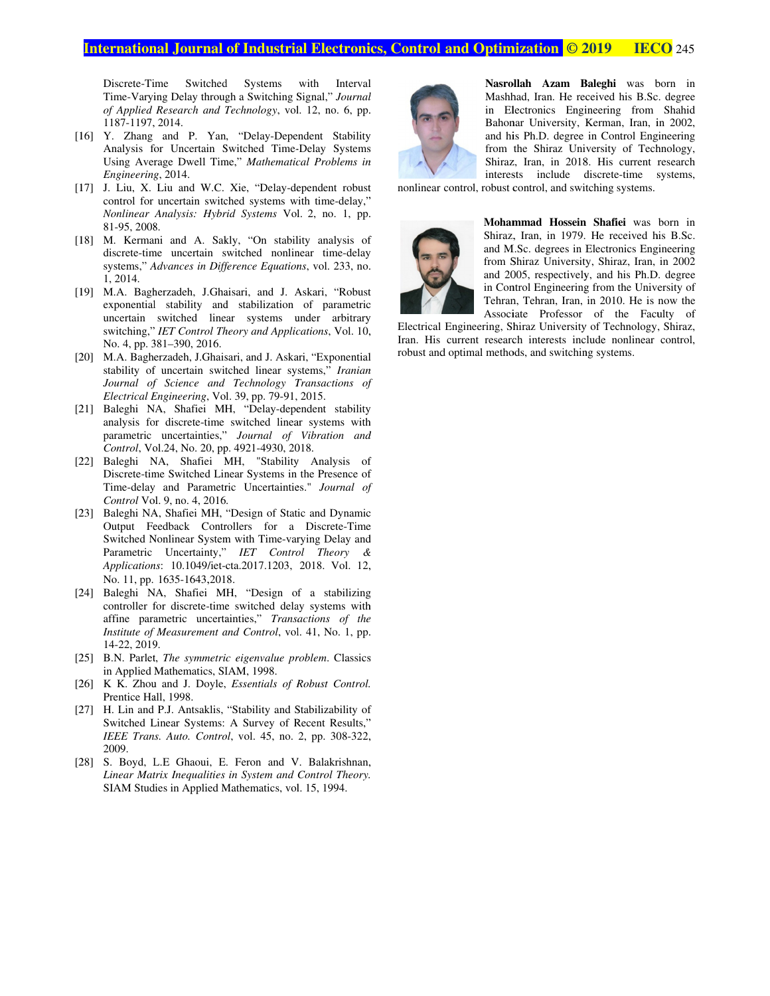#### **International Journal of Industrial Electronics, Control and Optimization © 2019 HECO IECO** 245

Discrete-Time Switched Systems with Interval Discrete-Time Switched Systems with<br>Time-Varying Delay through a Switching Signal," of Applied Research and Technology, vol. 12, no. 6, pp. 1187-1197, 2014.

- [16 16] Y. Zhang and P. Yan, "Delay Y. Zhang and P. Yan, "Delay-Dependent Stability<br>Analysis for Uncertain Switched Time-Delay Systems Using Average Dwell Time," Mathematical Problems in *Engineering* 7-1197, 2014.<br>Zhang and F<br>lysis for Unce<br>g Average Dw<br>ineering, 2014. "Delay-Dependent Stability
- [17 17] J. Liu, X. Liu and W.C. Xie, "Delay W.C. Xie, "Delay-dependent robust J. Liu, X. Liu and W.C. Xie, "Delay-dependent robust control for uncertain switched systems with time-delay," *Nonlinear Analysis: Hybrid Systems Hybrid Systems* Vol. 2, no. 1, pp. 81-95, 2008.
- [18] M. Kermani and A. Sakly, "On stability analysis of M. Kermani and A. Sakly, "On stability analysis of discrete-time uncertain switched nonlinear time-delay systems," *Advances in Difference Equations* , vol. 233, no. 1, 2014. 95, 2008.<br>Kermani and A. Sakly, "On stability<br>crete-time uncertain switched nonlinear M. Kermani and A. Sakly, "On stability analysis of
- [19] M.A. Bagherzadeh, J.Ghaisari, and J. Askari, "Robust exponential stability and stabilization of parametric uncertain switched linear systems under arbitrary switching," IET Control Theory and No. 4, pp. 381–390, 2016. M.A. Bagherzadeh, J.Ghaisari, and J. Askari, exponential stability and stabilization of puncertain switched linear systems under switching," *IET Control Theory and Applications* linear systems under arbitrary ation of parametric<br>ms under arbitrary<br>Applications, Vol. 10,
- [20] M.A. Bagherzadeh, J.Ghaisari, and J. Askari, "Exponential stability of uncertain switched linear systems," Iranian Journal of Science and Technology Transactions of *Electrical Engineering* , Vol. Vol. 39, pp. 79-91, 2015.
- [21] Baleghi NA, Shafiei MH, "Delay-dependent stability analysis for discrete-time switched linear systems with parametric uncertainties," *Journal of Vibration and*  parametric uncertainties," *Journal of Vil*<br>Control, Vol.24, No. 20, pp. 4921-4930, 2018. 91, 2015.<br>I, "Delay-dependent<br>switched linear syste<br>Journal of Vibrat<br>4921-4930, 2018.
- [22] Baleghi NA, Shafiei MH, "Stability Analysis of Baleghi NA, Shafiei MH, "Stability Analysis of Discrete-time Switched Linear Systems in the Presence of Time-delay and Parametric Uncertainties." Journal of Control Vol. 9, no. 4, 2016.
- [23] Baleghi NA, Shafiei MH, "Design of Static and Dynamic Baleghi NA, Shafiei MH, "Design of Static and Dynamic<br>Output Feedback Controllers for a Discrete-Time Switched Nonlinear System with Time-varying Delay and Parametric Uncertainty," *Applications*: 10.1049/iet-cta.2017.1203,<br>No. 11, pp. 1635-1643,2018. No. 11, pp. 1635-1643,201 Nonlinear System with Time-varying<br>c Uncertainty," *IET Control Tims*: 10.1049/iet-cta.2017.1203, 2018. ith Interval<br>gnal," Journal<br>12, no. 6, pp.<br>lent Stability<br>belay Systems<br>il Problems in<br>endent robust<br>h time-delay,"<br>2, no. 1, pp.<br>y analysis of<br>ar time-delay,"<br>y, vol. 233, no.<br>kari, "Robust parametric<br>der arbitrary<br>tions, *IET Control Theory &*  **EVALUAT: CONTRANTIFY (THETTLE STEAD 100)**<br> **EVALUAT:** The Switching Signal," Journal *Ged* in the Switching Signal," Journal *Ged* in the Switching Signal," Journal *Electronics*, with LIP Year, "Delay Bystems in Fig. Y varying Delay and<br> *utrol Theory &*<br>
3, 2018. Vol. 12, *International Technology,* vol. 12, no. 6, pp.<br> **II-8.** Theory. "Delay Systems<br>
Dincertain Switched Time-Delay Systems<br>
2161 and W.C. Xie, "Delay dependent robusts in<br>
2161 and M.C. Xie, "Delay dependent robusts in<br>
and A
- [24] Baleghi NA, Shafiei MH, "Design of a stabilizing controller for discrete-time switched delay systems with affine parametric uncertainties," Transactions of the *Institute of Measurement and Control*, vol. 41, No. 1, pp. 14-22, 2019. 22,
- [25] B.N. Parlet, *The symmetric eigenvalue problem*. Classics in Applied Mathematics, SIAM, 1998.
- in Applied Mathematics, SIAM, 1998.<br>[26] K K. Zhou and J. Doyle, *Essentials of Robust Control.* Prentice Hall, 1998.
- [27] H. Lin and P.J. Antsaklis, "Stability and Stabilizability of Switched Linear Systems: A Survey of Recent Results," *H. Lin and P.J. Antsaklis, "Stability and Stabilizability of Switched Linear Systems: A Survey of Recent Results,"*<br>*IEEE Trans. Auto. Control*, vol. 45, no. 2, pp. 308-322, 2009.
- [28] S. Boyd, L.E Ghaoui, E. Feron and V. Balakrishnan, Linear Matrix Inequalities in System and Control Theory. SIAM Studies in Applied Mathematics, vol. 15, 1994.



**Nasrollah Azam Baleghi Azam Baleghi** was born in Mashhad Mashhad, Iran. He received his B.S B.Sc c. degree in Electronics Engineering from Shahid Bahonar University, Kerman, Iran, in 2002, and his Ph.D. degree in Control Engineering from the Shiraz University of Technology, Shiraz, Iran, in 2018. His current research Shiraz, Iran, in 2018. His current research<br>interests include discrete-time systems, Bahonar University, Kerman, Iran, in<br>and his Ph.D. degree in Control Engin<br>from the Shiraz University of Techn<br>Shiraz, Iran, in 2018. His current re-<br>interests include discrete-time sy in Electronics Engineering from Shahid<br>Bahonar University, Kerman, Iran, in 2002,<br>and his Ph.D. degree in Control Engineering<br>from the Shiraz University of Technology, degree in Control Engineering<br>az University of Technology,<br>n 2018. His current research<br>ude discrete-time systems,<br>nd switching systems.<br>**Iossein Shafiei** was born in<br>n 1979. He received his B.Sc.

nonlinear control, robust control, and switching systems.



**Mohammad Hossein Shafiei** was born in Shiraz, Iran, in 1979. He received his and M.S M.Sc. degrees in Electr Electronics Engineering from Shiraz University, Shiraz, Iran, in 2002 and 2005, respectively, and his Ph.D. degree in Control Control Engineering Engineering from the University of Tehran, Tehran, Iran, in 2010. He is now the Associate Professor of the Faculty of is now the<br>aculty of<br>gy, Shiraz,

Electrical Engineering, Shiraz University of Technology, Associate Professor of the Faculty of Electrical Engineering, Shiraz University of Technology, Shiraz, Iran. His current research interests include nonlinear control, robust and optimal methods, and switching systems.